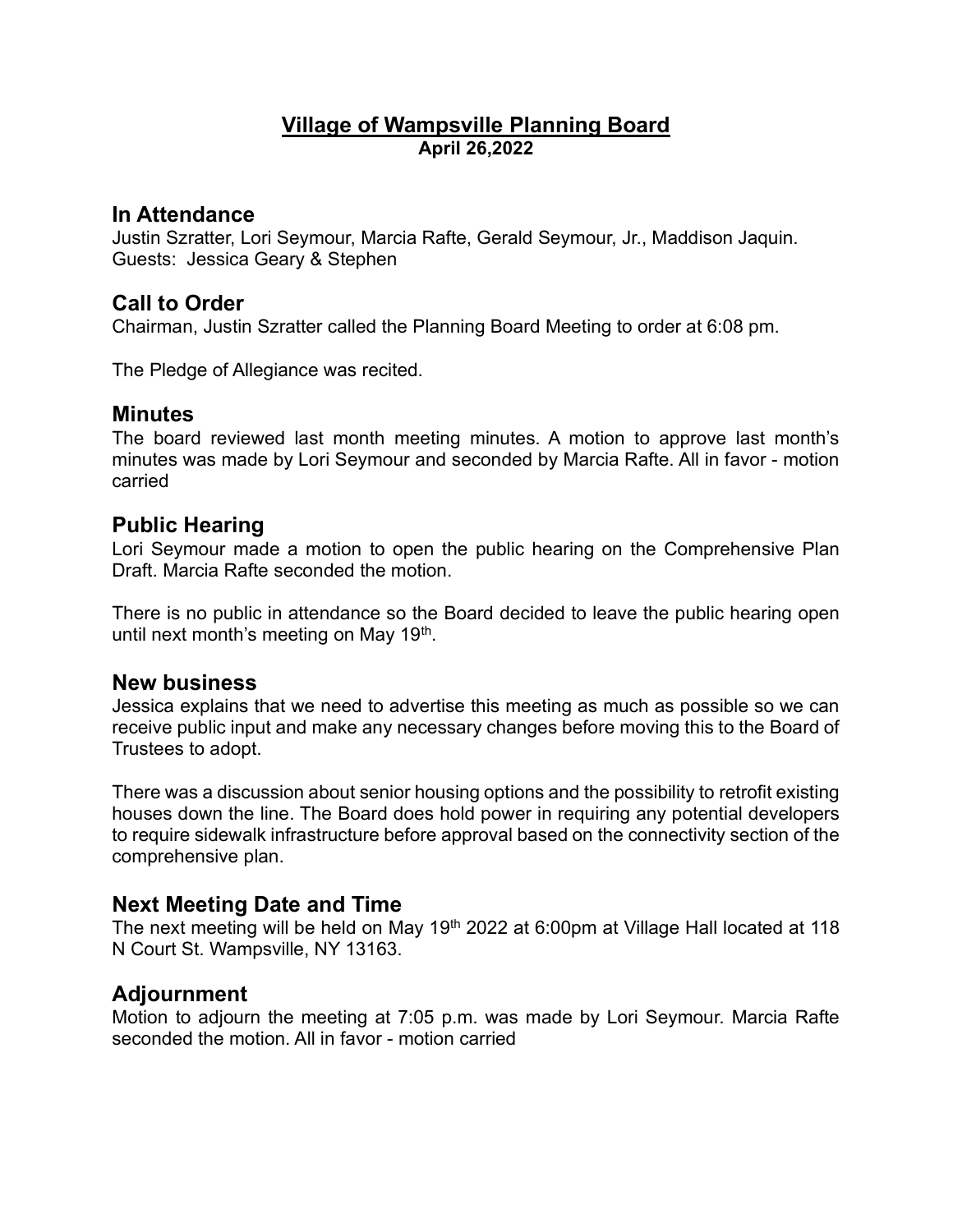### Village of Wampsville Planning Board April 26,2022

#### In Attendance

Justin Szratter, Lori Seymour, Marcia Rafte, Gerald Seymour, Jr., Maddison Jaquin. Guests: Jessica Geary & Stephen

### Call to Order

Chairman, Justin Szratter called the Planning Board Meeting to order at 6:08 pm.

The Pledge of Allegiance was recited.

### **Minutes**

The board reviewed last month meeting minutes. A motion to approve last month's minutes was made by Lori Seymour and seconded by Marcia Rafte. All in favor - motion carried

## Public Hearing

Lori Seymour made a motion to open the public hearing on the Comprehensive Plan Draft. Marcia Rafte seconded the motion.

There is no public in attendance so the Board decided to leave the public hearing open until next month's meeting on May 19<sup>th</sup>.

### New business

Jessica explains that we need to advertise this meeting as much as possible so we can receive public input and make any necessary changes before moving this to the Board of Trustees to adopt.

There was a discussion about senior housing options and the possibility to retrofit existing houses down the line. The Board does hold power in requiring any potential developers to require sidewalk infrastructure before approval based on the connectivity section of the comprehensive plan.

## Next Meeting Date and Time

The next meeting will be held on May 19<sup>th</sup> 2022 at 6:00pm at Village Hall located at 118 N Court St. Wampsville, NY 13163.

## Adjournment

Motion to adjourn the meeting at 7:05 p.m. was made by Lori Seymour. Marcia Rafte seconded the motion. All in favor - motion carried